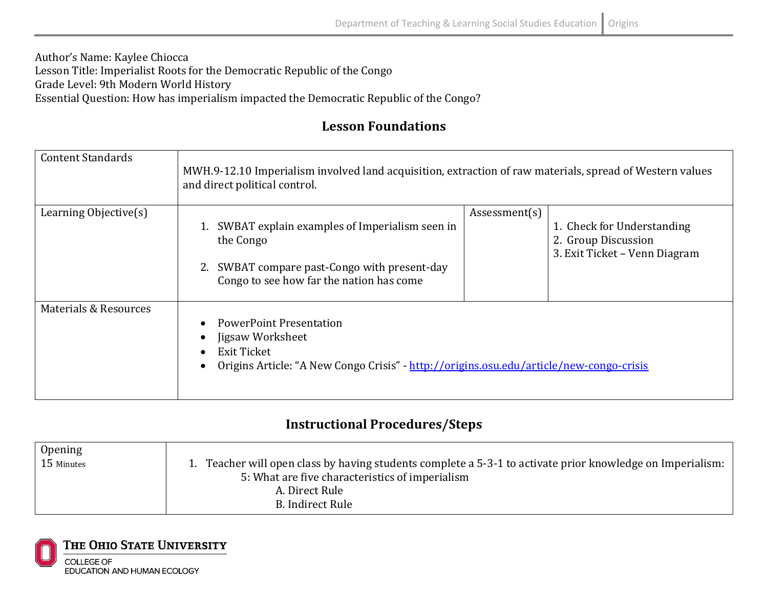## Author's Name: Kaylee Chiocca Lesson Title: Imperialist Roots for the Democratic Republic of the Congo Grade Level: 9th Modern World History Essential Question: How has imperialism impacted the Democratic Republic of the Congo?

## **Lesson Foundations**

| <b>Content Standards</b> | MWH.9-12.10 Imperialism involved land acquisition, extraction of raw materials, spread of Western values<br>and direct political control.                           |                                                                                                     |
|--------------------------|---------------------------------------------------------------------------------------------------------------------------------------------------------------------|-----------------------------------------------------------------------------------------------------|
| Learning Objective(s)    | SWBAT explain examples of Imperialism seen in<br>the Congo<br>2. SWBAT compare past-Congo with present-day<br>Congo to see how far the nation has come              | Assessment(s)<br>1. Check for Understanding<br>2. Group Discussion<br>3. Exit Ticket - Venn Diagram |
| Materials & Resources    | <b>PowerPoint Presentation</b><br>Jigsaw Worksheet<br><b>Exit Ticket</b><br>Origins Article: "A New Congo Crisis" - http://origins.osu.edu/article/new-congo-crisis |                                                                                                     |

## **Instructional Procedures/Steps**

| Opening    |                                                                                                            |
|------------|------------------------------------------------------------------------------------------------------------|
| 15 Minutes | 1. Teacher will open class by having students complete a 5-3-1 to activate prior knowledge on Imperialism: |
|            | 5: What are five characteristics of imperialism                                                            |
|            | A. Direct Rule                                                                                             |
|            | B. Indirect Rule                                                                                           |

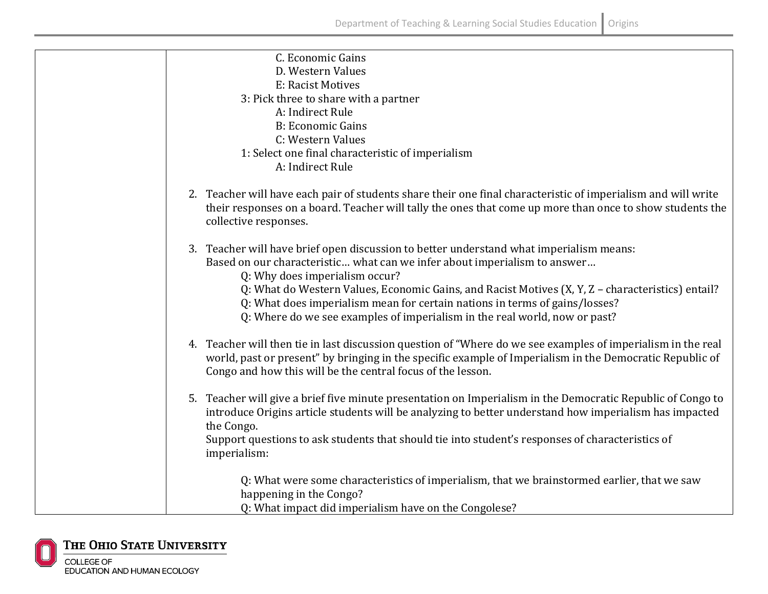| C. Economic Gains                                                                                             |
|---------------------------------------------------------------------------------------------------------------|
| D. Western Values                                                                                             |
| E: Racist Motives                                                                                             |
| 3: Pick three to share with a partner                                                                         |
| A: Indirect Rule                                                                                              |
| <b>B: Economic Gains</b>                                                                                      |
| C: Western Values                                                                                             |
| 1: Select one final characteristic of imperialism                                                             |
| A: Indirect Rule                                                                                              |
|                                                                                                               |
| 2. Teacher will have each pair of students share their one final characteristic of imperialism and will write |
| their responses on a board. Teacher will tally the ones that come up more than once to show students the      |
| collective responses.                                                                                         |
|                                                                                                               |
| 3. Teacher will have brief open discussion to better understand what imperialism means:                       |
| Based on our characteristic what can we infer about imperialism to answer                                     |
| Q: Why does imperialism occur?                                                                                |
| Q: What do Western Values, Economic Gains, and Racist Motives (X, Y, Z - characteristics) entail?             |
| Q: What does imperialism mean for certain nations in terms of gains/losses?                                   |
| Q: Where do we see examples of imperialism in the real world, now or past?                                    |
|                                                                                                               |
| 4. Teacher will then tie in last discussion question of "Where do we see examples of imperialism in the real  |
| world, past or present" by bringing in the specific example of Imperialism in the Democratic Republic of      |
| Congo and how this will be the central focus of the lesson.                                                   |
|                                                                                                               |
| 5. Teacher will give a brief five minute presentation on Imperialism in the Democratic Republic of Congo to   |
| introduce Origins article students will be analyzing to better understand how imperialism has impacted        |
| the Congo.                                                                                                    |
| Support questions to ask students that should tie into student's responses of characteristics of              |
| imperialism:                                                                                                  |
|                                                                                                               |
| Q: What were some characteristics of imperialism, that we brainstormed earlier, that we saw                   |
| happening in the Congo?                                                                                       |
|                                                                                                               |
| Q: What impact did imperialism have on the Congolese?                                                         |

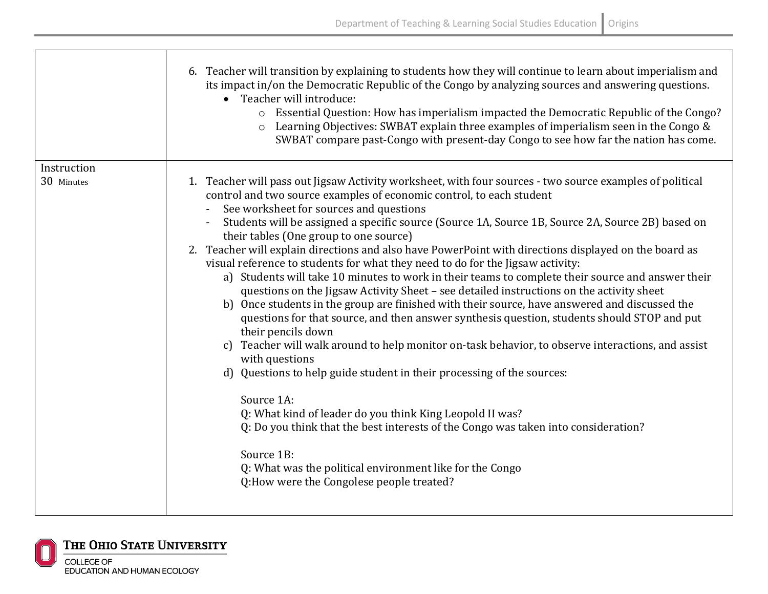|             | 6. Teacher will transition by explaining to students how they will continue to learn about imperialism and<br>its impact in/on the Democratic Republic of the Congo by analyzing sources and answering questions.<br>• Teacher will introduce:<br>o Essential Question: How has imperialism impacted the Democratic Republic of the Congo?<br>Learning Objectives: SWBAT explain three examples of imperialism seen in the Congo &<br>$\circ$<br>SWBAT compare past-Congo with present-day Congo to see how far the nation has come.                                                                                                                                                                                                                                                                                                                                                                                                                                                                                                                                                                                                                                                                                                                                                                                                                                                                                                                                                   |
|-------------|----------------------------------------------------------------------------------------------------------------------------------------------------------------------------------------------------------------------------------------------------------------------------------------------------------------------------------------------------------------------------------------------------------------------------------------------------------------------------------------------------------------------------------------------------------------------------------------------------------------------------------------------------------------------------------------------------------------------------------------------------------------------------------------------------------------------------------------------------------------------------------------------------------------------------------------------------------------------------------------------------------------------------------------------------------------------------------------------------------------------------------------------------------------------------------------------------------------------------------------------------------------------------------------------------------------------------------------------------------------------------------------------------------------------------------------------------------------------------------------|
| Instruction |                                                                                                                                                                                                                                                                                                                                                                                                                                                                                                                                                                                                                                                                                                                                                                                                                                                                                                                                                                                                                                                                                                                                                                                                                                                                                                                                                                                                                                                                                        |
| 30 Minutes  | 1. Teacher will pass out Jigsaw Activity worksheet, with four sources - two source examples of political<br>control and two source examples of economic control, to each student<br>See worksheet for sources and questions<br>Students will be assigned a specific source (Source 1A, Source 1B, Source 2A, Source 2B) based on<br>their tables (One group to one source)<br>2. Teacher will explain directions and also have PowerPoint with directions displayed on the board as<br>visual reference to students for what they need to do for the Jigsaw activity:<br>a) Students will take 10 minutes to work in their teams to complete their source and answer their<br>questions on the Jigsaw Activity Sheet - see detailed instructions on the activity sheet<br>b) Once students in the group are finished with their source, have answered and discussed the<br>questions for that source, and then answer synthesis question, students should STOP and put<br>their pencils down<br>Teacher will walk around to help monitor on-task behavior, to observe interactions, and assist<br>c)<br>with questions<br>d) Questions to help guide student in their processing of the sources:<br>Source 1A:<br>Q: What kind of leader do you think King Leopold II was?<br>Q: Do you think that the best interests of the Congo was taken into consideration?<br>Source 1B:<br>Q: What was the political environment like for the Congo<br>Q:How were the Congolese people treated? |



THE OHIO STATE UNIVERSITY **COLLEGE OF** EDUCATION AND HUMAN ECOLOGY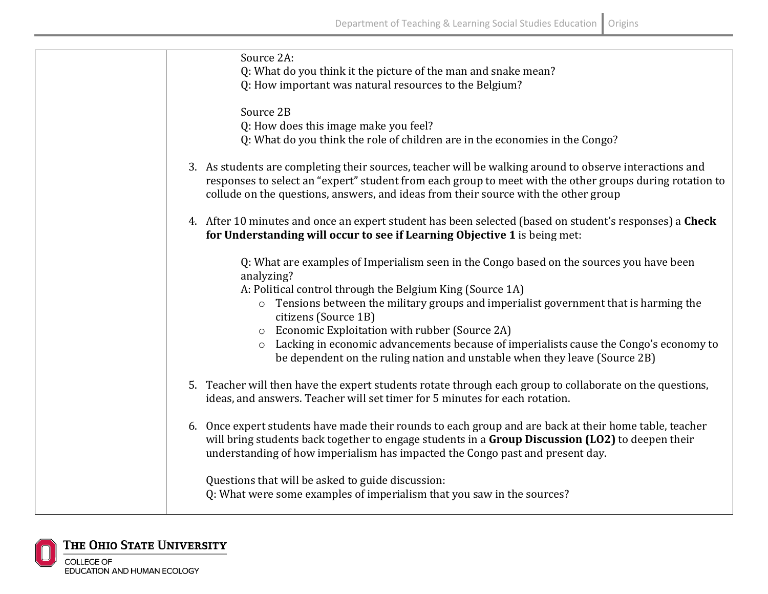| Source 2A:                                                                                               |
|----------------------------------------------------------------------------------------------------------|
| Q: What do you think it the picture of the man and snake mean?                                           |
| Q: How important was natural resources to the Belgium?                                                   |
|                                                                                                          |
| Source 2B                                                                                                |
| Q: How does this image make you feel?                                                                    |
| Q: What do you think the role of children are in the economies in the Congo?                             |
|                                                                                                          |
| 3. As students are completing their sources, teacher will be walking around to observe interactions and  |
| responses to select an "expert" student from each group to meet with the other groups during rotation to |
| collude on the questions, answers, and ideas from their source with the other group                      |
|                                                                                                          |
| 4. After 10 minutes and once an expert student has been selected (based on student's responses) a Check  |
| for Understanding will occur to see if Learning Objective 1 is being met:                                |
|                                                                                                          |
| Q: What are examples of Imperialism seen in the Congo based on the sources you have been                 |
| analyzing?                                                                                               |
| A: Political control through the Belgium King (Source 1A)                                                |
| o Tensions between the military groups and imperialist government that is harming the                    |
| citizens (Source 1B)                                                                                     |
| O Economic Exploitation with rubber (Source 2A)                                                          |
| Lacking in economic advancements because of imperialists cause the Congo's economy to<br>$\circ$         |
| be dependent on the ruling nation and unstable when they leave (Source 2B)                               |
|                                                                                                          |
| 5. Teacher will then have the expert students rotate through each group to collaborate on the questions, |
| ideas, and answers. Teacher will set timer for 5 minutes for each rotation.                              |
|                                                                                                          |
| 6. Once expert students have made their rounds to each group and are back at their home table, teacher   |
| will bring students back together to engage students in a Group Discussion (LO2) to deepen their         |
| understanding of how imperialism has impacted the Congo past and present day.                            |
|                                                                                                          |
| Questions that will be asked to guide discussion:                                                        |
| Q: What were some examples of imperialism that you saw in the sources?                                   |
|                                                                                                          |